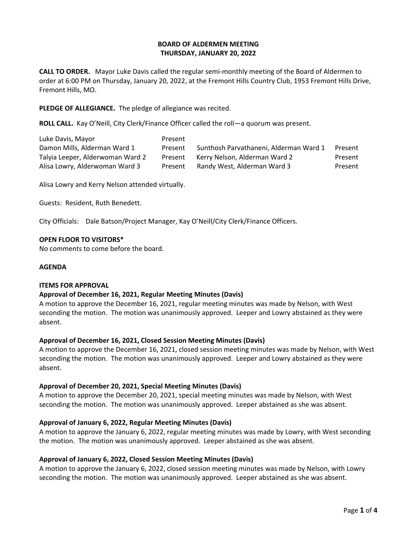## **BOARD OF ALDERMEN MEETING THURSDAY, JANUARY 20, 2022**

**CALL TO ORDER.** Mayor Luke Davis called the regular semi-monthly meeting of the Board of Aldermen to order at 6:00 PM on Thursday, January 20, 2022, at the Fremont Hills Country Club, 1953 Fremont Hills Drive, Fremont Hills, MO.

**PLEDGE OF ALLEGIANCE.** The pledge of allegiance was recited.

**ROLL CALL.** Kay O'Neill, City Clerk/Finance Officer called the roll—a quorum was present.

| Luke Davis, Mayor                | Present |                                        |         |
|----------------------------------|---------|----------------------------------------|---------|
| Damon Mills, Alderman Ward 1     | Present | Sunthosh Parvathaneni, Alderman Ward 1 | Present |
| Talyia Leeper, Alderwoman Ward 2 | Present | Kerry Nelson, Alderman Ward 2          | Present |
| Alisa Lowry, Alderwoman Ward 3   | Present | Randy West, Alderman Ward 3            | Present |

Alisa Lowry and Kerry Nelson attended virtually.

Guests: Resident, Ruth Benedett.

City Officials: Dale Batson/Project Manager, Kay O'Neill/City Clerk/Finance Officers.

### **OPEN FLOOR TO VISITORS\***

No comments to come before the board.

#### **AGENDA**

#### **ITEMS FOR APPROVAL**

## **Approval of December 16, 2021, Regular Meeting Minutes (Davis)**

A motion to approve the December 16, 2021, regular meeting minutes was made by Nelson, with West seconding the motion. The motion was unanimously approved. Leeper and Lowry abstained as they were absent.

## **Approval of December 16, 2021, Closed Session Meeting Minutes (Davis)**

A motion to approve the December 16, 2021, closed session meeting minutes was made by Nelson, with West seconding the motion. The motion was unanimously approved. Leeper and Lowry abstained as they were absent.

## **Approval of December 20, 2021, Special Meeting Minutes (Davis)**

A motion to approve the December 20, 2021, special meeting minutes was made by Nelson, with West seconding the motion. The motion was unanimously approved. Leeper abstained as she was absent.

## **Approval of January 6, 2022, Regular Meeting Minutes (Davis)**

A motion to approve the January 6, 2022, regular meeting minutes was made by Lowry, with West seconding the motion. The motion was unanimously approved. Leeper abstained as she was absent.

## **Approval of January 6, 2022, Closed Session Meeting Minutes (Davis)**

A motion to approve the January 6, 2022, closed session meeting minutes was made by Nelson, with Lowry seconding the motion. The motion was unanimously approved. Leeper abstained as she was absent.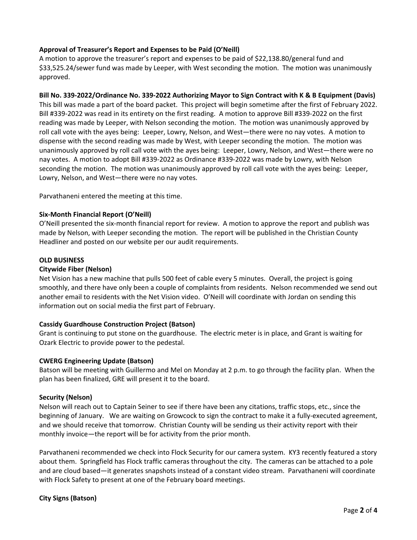# **Approval of Treasurer's Report and Expenses to be Paid (O'Neill)**

A motion to approve the treasurer's report and expenses to be paid of \$22,138.80/general fund and \$33,525.24/sewer fund was made by Leeper, with West seconding the motion. The motion was unanimously approved.

# **Bill No. 339-2022/Ordinance No. 339-2022 Authorizing Mayor to Sign Contract with K & B Equipment (Davis)**

This bill was made a part of the board packet. This project will begin sometime after the first of February 2022. Bill #339-2022 was read in its entirety on the first reading. A motion to approve Bill #339-2022 on the first reading was made by Leeper, with Nelson seconding the motion. The motion was unanimously approved by roll call vote with the ayes being: Leeper, Lowry, Nelson, and West—there were no nay votes. A motion to dispense with the second reading was made by West, with Leeper seconding the motion. The motion was unanimously approved by roll call vote with the ayes being: Leeper, Lowry, Nelson, and West—there were no nay votes. A motion to adopt Bill #339-2022 as Ordinance #339-2022 was made by Lowry, with Nelson seconding the motion. The motion was unanimously approved by roll call vote with the ayes being: Leeper, Lowry, Nelson, and West—there were no nay votes.

Parvathaneni entered the meeting at this time.

## **Six-Month Financial Report (O'Neill)**

O'Neill presented the six-month financial report for review. A motion to approve the report and publish was made by Nelson, with Leeper seconding the motion. The report will be published in the Christian County Headliner and posted on our website per our audit requirements.

## **OLD BUSINESS**

## **Citywide Fiber (Nelson)**

Net Vision has a new machine that pulls 500 feet of cable every 5 minutes. Overall, the project is going smoothly, and there have only been a couple of complaints from residents. Nelson recommended we send out another email to residents with the Net Vision video. O'Neill will coordinate with Jordan on sending this information out on social media the first part of February.

## **Cassidy Guardhouse Construction Project (Batson)**

Grant is continuing to put stone on the guardhouse. The electric meter is in place, and Grant is waiting for Ozark Electric to provide power to the pedestal.

## **CWERG Engineering Update (Batson)**

Batson will be meeting with Guillermo and Mel on Monday at 2 p.m. to go through the facility plan. When the plan has been finalized, GRE will present it to the board.

## **Security (Nelson)**

Nelson will reach out to Captain Seiner to see if there have been any citations, traffic stops, etc., since the beginning of January. We are waiting on Growcock to sign the contract to make it a fully-executed agreement, and we should receive that tomorrow. Christian County will be sending us their activity report with their monthly invoice—the report will be for activity from the prior month.

Parvathaneni recommended we check into Flock Security for our camera system. KY3 recently featured a story about them. Springfield has Flock traffic cameras throughout the city. The cameras can be attached to a pole and are cloud based—it generates snapshots instead of a constant video stream. Parvathaneni will coordinate with Flock Safety to present at one of the February board meetings.

#### **City Signs (Batson)**